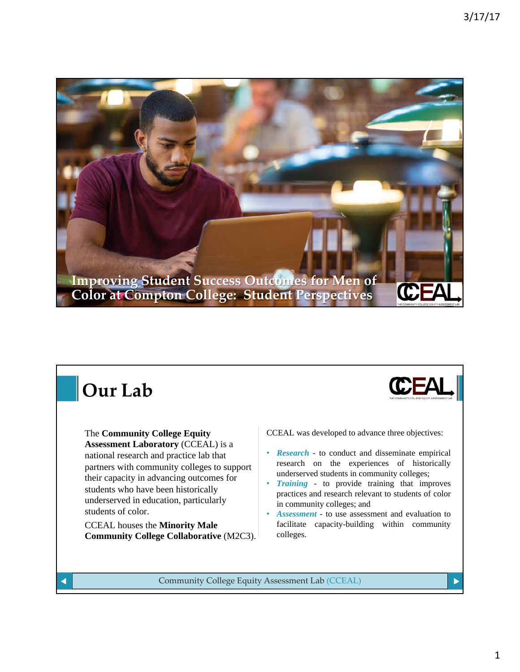

## **Our Lab**

The **Community College Equity Assessment Laboratory** (CCEAL) is a national research and practice lab that partners with community colleges to support their capacity in advancing outcomes for students who have been historically underserved in education, particularly students of color.

CCEAL houses the **Minority Male Community College Collaborative** (M2C3). CCEAL was developed to advance three objectives:

**CEA** 

• *Research* - to conduct and disseminate empirical research on the experiences of historically underserved students in community colleges;

• *Training* - to provide training that improves practices and research relevant to students of color in community colleges; and

• *Assessment* - to use assessment and evaluation to facilitate capacity-building within community colleges.

Community College Equity Assessment Lab (CCEAL)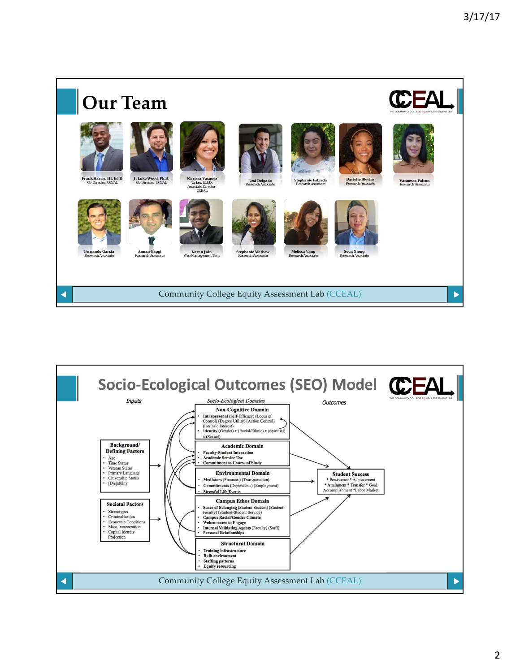

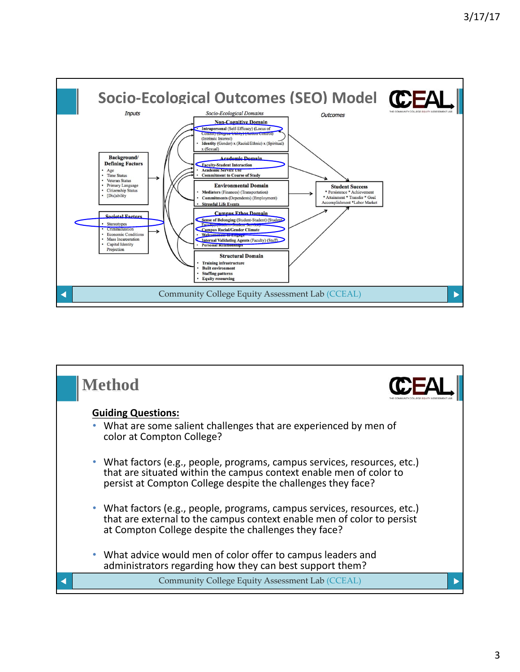

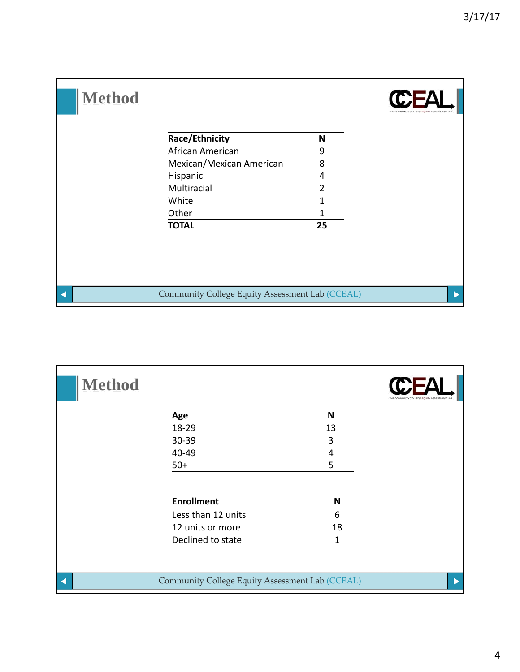| <b>Method</b> |                                                 |                |  |
|---------------|-------------------------------------------------|----------------|--|
|               | <b>Race/Ethnicity</b>                           | N              |  |
|               | African American                                | 9              |  |
|               | Mexican/Mexican American                        | 8              |  |
|               | Hispanic                                        | 4              |  |
|               | Multiracial                                     | $\overline{2}$ |  |
|               | White                                           |                |  |
|               | Other                                           | 1              |  |
|               | <b>TOTAL</b>                                    | 25             |  |
|               |                                                 |                |  |
|               | Community College Equity Assessment Lab (CCEAL) |                |  |

| <b>Method</b> |                                                 |    |  |
|---------------|-------------------------------------------------|----|--|
|               | Age                                             | N  |  |
|               | 18-29                                           | 13 |  |
|               | 30-39                                           | 3  |  |
|               | 40-49                                           | 4  |  |
|               | $50+$                                           | 5  |  |
|               | <b>Enrollment</b>                               | N  |  |
|               | Less than 12 units                              | 6  |  |
|               | 12 units or more                                | 18 |  |
|               | Declined to state                               | 1  |  |
|               |                                                 |    |  |
| к             | Community College Equity Assessment Lab (CCEAL) |    |  |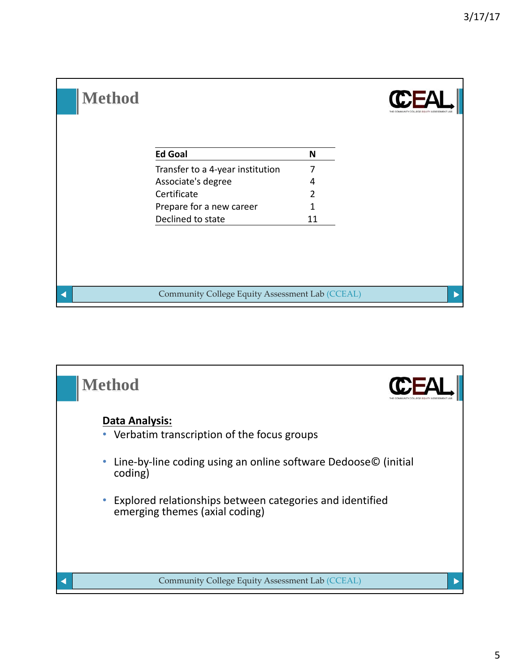

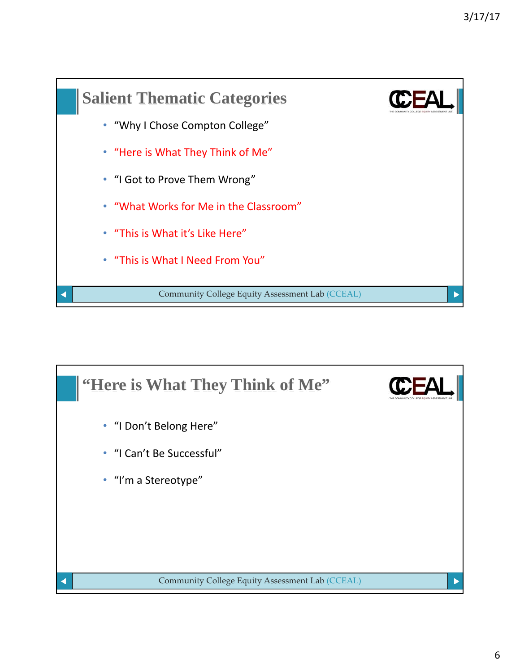

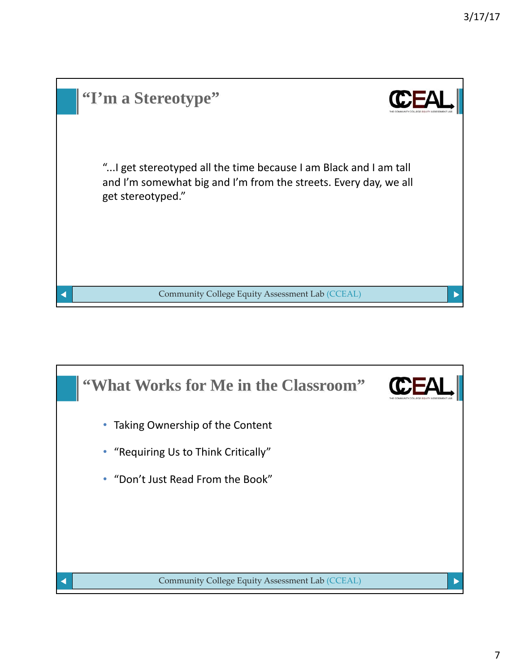| "I'm a Stereotype"                                                                                                                                         |  |
|------------------------------------------------------------------------------------------------------------------------------------------------------------|--|
| " I get stereotyped all the time because I am Black and I am tall<br>and I'm somewhat big and I'm from the streets. Every day, we all<br>get stereotyped." |  |
| Community College Equity Assessment Lab (CCEAL)                                                                                                            |  |

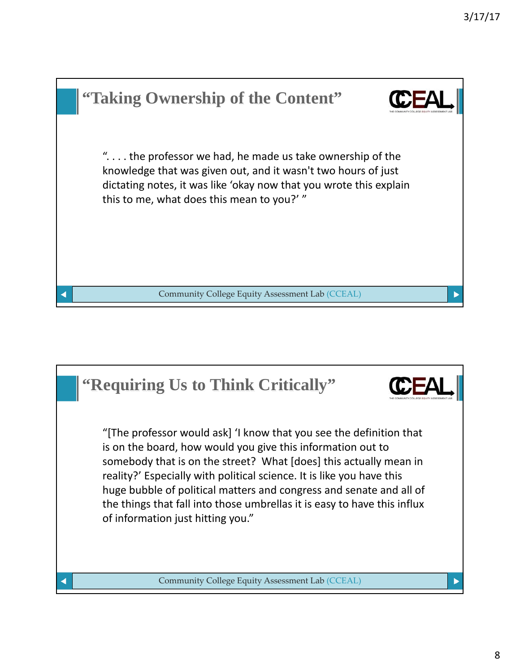

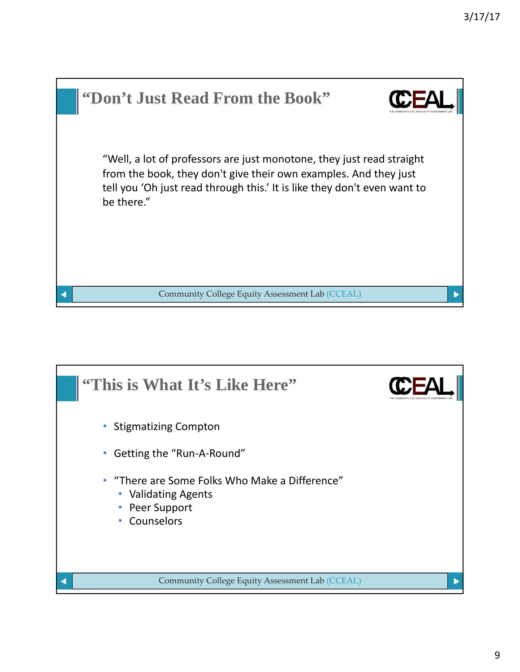

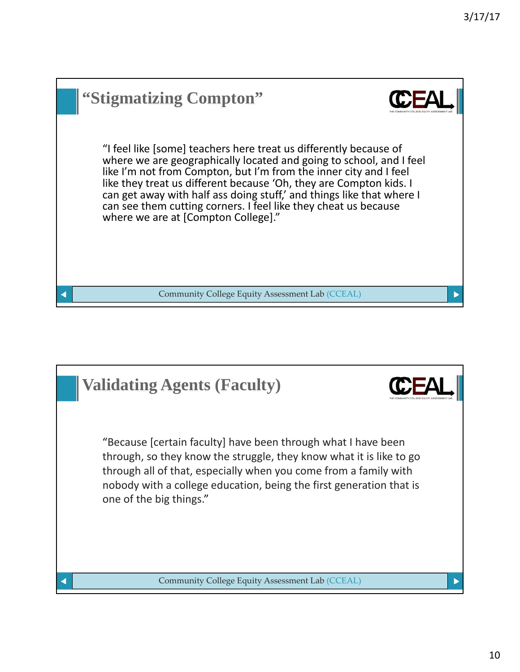

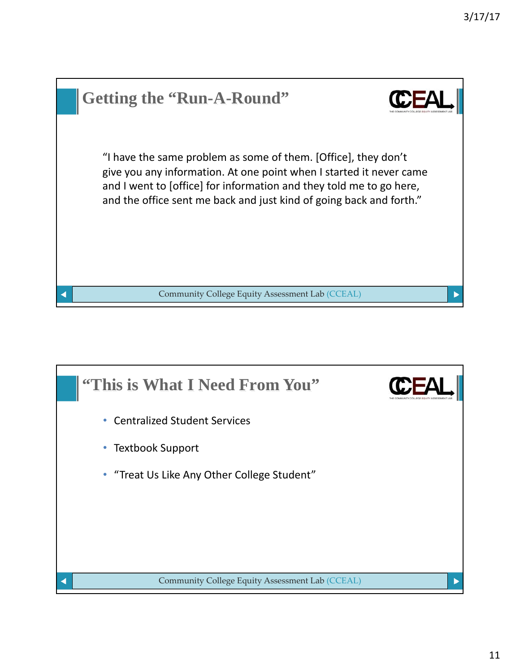

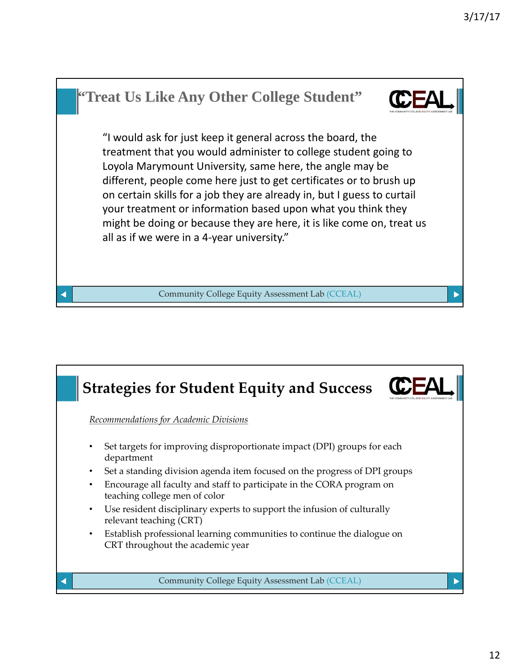